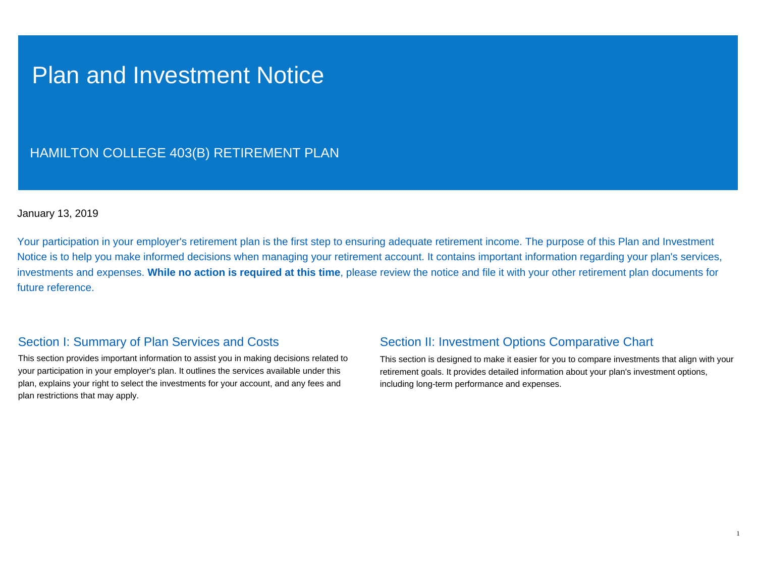## Plan and Investment Notice

## HAMILTON COLLEGE 403(B) RETIREMENT PLAN

## January 13, 2019

Your participation in your employer's retirement plan is the first step to ensuring adequate retirement income. The purpose of this Plan and Investment Notice is to help you make informed decisions when managing your retirement account. It contains important information regarding your plan's services, investments and expenses. **While no action is required at this time**, please review the notice and file it with your other retirement plan documents for future reference.

## Section I: Summary of Plan Services and Costs

This section provides important information to assist you in making decisions related to your participation in your employer's plan. It outlines the services available under this plan, explains your right to select the investments for your account, and any fees and plan restrictions that may apply.

## Section II: Investment Options Comparative Chart

This section is designed to make it easier for you to compare investments that align with your retirement goals. It provides detailed information about your plan's investment options, including long-term performance and expenses.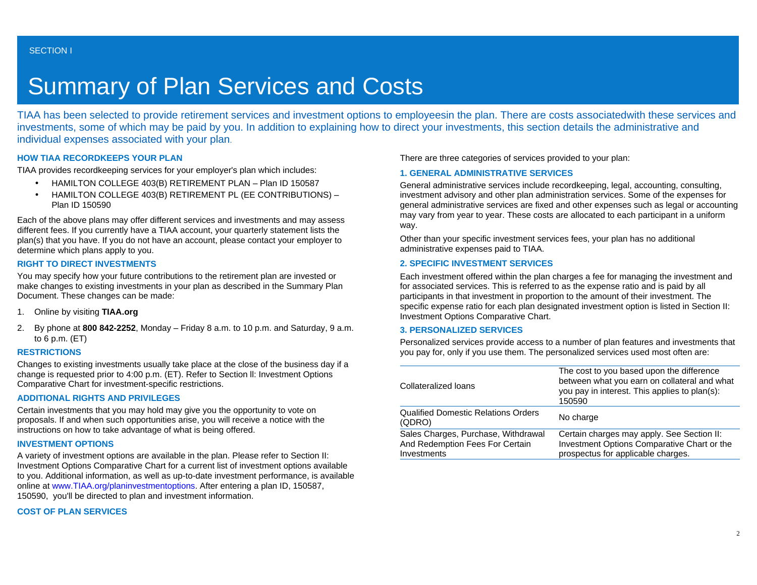# Summary of Plan Services and Costs

TIAA has been selected to provide retirement services and investment options to employeesin the plan. There are costs associatedwith these services and investments, some of which may be paid by you. In addition to explaining how to direct your investments, this section details the administrative and individual expenses associated with your plan.

## **HOW TIAA RECORDKEEPS YOUR PLAN**

TIAA provides recordkeeping services for your employer's plan which includes:

- HAMILTON COLLEGE 403(B) RETIREMENT PLAN Plan ID 150587
- HAMILTON COLLEGE 403(B) RETIREMENT PL (EE CONTRIBUTIONS) Plan ID 150590

Each of the above plans may offer different services and investments and may assess different fees. If you currently have a TIAA account, your quarterly statement lists the plan(s) that you have. If you do not have an account, please contact your employer to determine which plans apply to you.

## **RIGHT TO DIRECT INVESTMENTS**

You may specify how your future contributions to the retirement plan are invested or make changes to existing investments in your plan as described in the Summary Plan Document. These changes can be made:

- 1. Online by visiting **TIAA.org**
- 2. By phone at **800 842-2252**, Monday Friday 8 a.m. to 10 p.m. and Saturday, 9 a.m. to 6 p.m. (ET)

## **RESTRICTIONS**

Changes to existing investments usually take place at the close of the business day if a change is requested prior to 4:00 p.m. (ET). Refer to Section ll: Investment Options Comparative Chart for investment-specific restrictions.

## **ADDITIONAL RIGHTS AND PRIVILEGES**

Certain investments that you may hold may give you the opportunity to vote on proposals. If and when such opportunities arise, you will receive a notice with the instructions on how to take advantage of what is being offered.

## **INVESTMENT OPTIONS**

A variety of investment options are available in the plan. Please refer to Section II: Investment Options Comparative Chart for a current list of investment options available to you. Additional information, as well as up-to-date investment performance, is available online at [www.TIAA.org/planinvestmentoptions](http://www.tiaa-cref.org/planinvestmentoptions). After entering a plan ID, 150587, 150590, you'll be directed to plan and investment information.

## **COST OF PLAN SERVICES**

There are three categories of services provided to your plan:

## **1. GENERAL ADMINISTRATIVE SERVICES**

General administrative services include recordkeeping, legal, accounting, consulting, investment advisory and other plan administration services. Some of the expenses for general administrative services are fixed and other expenses such as legal or accounting may vary from year to year. These costs are allocated to each participant in a uniform way.

Other than your specific investment services fees, your plan has no additional administrative expenses paid to TIAA.

#### **2. SPECIFIC INVESTMENT SERVICES**

Each investment offered within the plan charges a fee for managing the investment and for associated services. This is referred to as the expense ratio and is paid by all participants in that investment in proportion to the amount of their investment. The specific expense ratio for each plan designated investment option is listed in Section II: Investment Options Comparative Chart.

#### **3. PERSONALIZED SERVICES**

Personalized services provide access to a number of plan features and investments that you pay for, only if you use them. The personalized services used most often are:

| Collateralized loans                                                                  | The cost to you based upon the difference<br>between what you earn on collateral and what<br>you pay in interest. This applies to plan(s):<br>150590 |
|---------------------------------------------------------------------------------------|------------------------------------------------------------------------------------------------------------------------------------------------------|
| <b>Qualified Domestic Relations Orders</b><br>(QDRO)                                  | No charge                                                                                                                                            |
| Sales Charges, Purchase, Withdrawal<br>And Redemption Fees For Certain<br>Investments | Certain charges may apply. See Section II:<br>Investment Options Comparative Chart or the<br>prospectus for applicable charges.                      |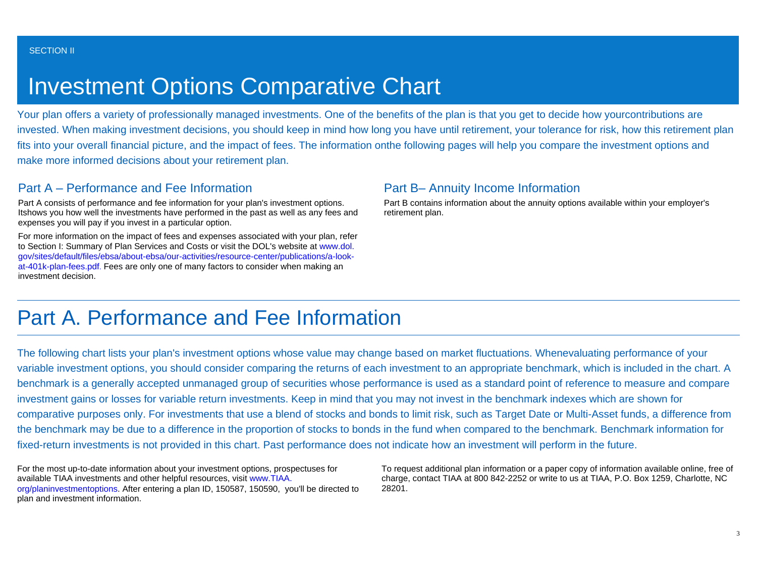# Investment Options Comparative Chart

Your plan offers a variety of professionally managed investments. One of the benefits of the plan is that you get to decide how yourcontributions are invested. When making investment decisions, you should keep in mind how long you have until retirement, your tolerance for risk, how this retirement plan fits into your overall financial picture, and the impact of fees. The information onthe following pages will help you compare the investment options and make more informed decisions about your retirement plan.

## Part A – Performance and Fee Information

Part A consists of performance and fee information for your plan's investment options. Itshows you how well the investments have performed in the past as well as any fees and expenses you will pay if you invest in a particular option.

For more information on the impact of fees and expenses associated with your plan, refer to Section I: Summary of Plan Services and Costs or visit the DOL's website at [www.dol.](http://www.dol.gov/sites/default/files/ebsa/about-ebsa/our-activities/resource-center/publications/a-look-at-401k-plan-fees.pdf) [gov/sites/default/files/ebsa/about-ebsa/our-activities/resource-center/publications/a-look](http://www.dol.gov/sites/default/files/ebsa/about-ebsa/our-activities/resource-center/publications/a-look-at-401k-plan-fees.pdf)[at-401k-plan-fees.pdf](http://www.dol.gov/sites/default/files/ebsa/about-ebsa/our-activities/resource-center/publications/a-look-at-401k-plan-fees.pdf). Fees are only one of many factors to consider when making an investment decision.

## Part B– Annuity Income Information

Part B contains information about the annuity options available within your employer's retirement plan.

## Part A. Performance and Fee Information

The following chart lists your plan's investment options whose value may change based on market fluctuations. Whenevaluating performance of your variable investment options, you should consider comparing the returns of each investment to an appropriate benchmark, which is included in the chart. A benchmark is a generally accepted unmanaged group of securities whose performance is used as a standard point of reference to measure and compare investment gains or losses for variable return investments. Keep in mind that you may not invest in the benchmark indexes which are shown for comparative purposes only. For investments that use a blend of stocks and bonds to limit risk, such as Target Date or Multi-Asset funds, a difference from the benchmark may be due to a difference in the proportion of stocks to bonds in the fund when compared to the benchmark. Benchmark information for fixed-return investments is not provided in this chart. Past performance does not indicate how an investment will perform in the future.

For the most up-to-date information about your investment options, prospectuses for available TIAA investments and other helpful resources, visit [www.TIAA.](http://www.tiaa-cref.org/planinvestmentoptions) [org/planinvestmentoptions](http://www.tiaa-cref.org/planinvestmentoptions). After entering a plan ID, 150587, 150590, you'll be directed to plan and investment information.

To request additional plan information or a paper copy of information available online, free of charge, contact TIAA at 800 842-2252 or write to us at TIAA, P.O. Box 1259, Charlotte, NC 28201.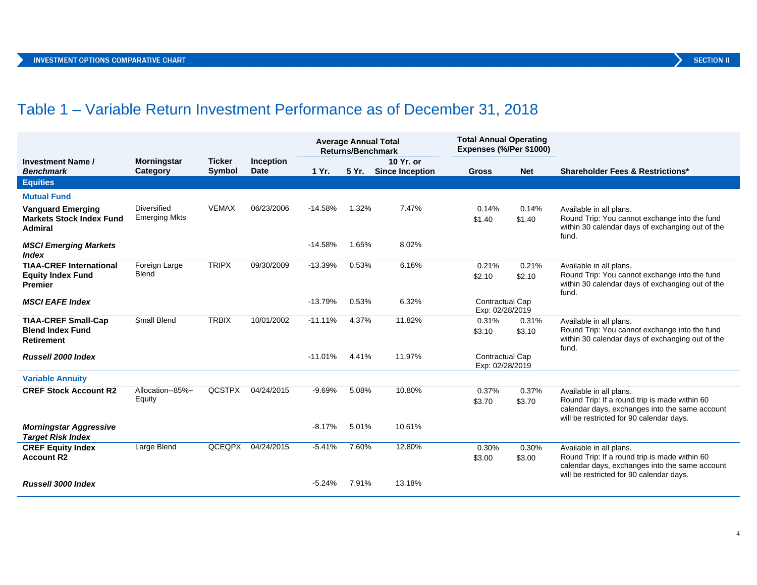## Table 1 – Variable Return Investment Performance as of December 31, 2018

|                                                           |                                            |               |                  |           | <b>Average Annual Total</b><br><b>Returns/Benchmark</b> |                        | <b>Total Annual Operating</b><br>Expenses (%/Per \$1000) |                 |                                                                                                                                             |
|-----------------------------------------------------------|--------------------------------------------|---------------|------------------|-----------|---------------------------------------------------------|------------------------|----------------------------------------------------------|-----------------|---------------------------------------------------------------------------------------------------------------------------------------------|
| <b>Investment Name /</b>                                  | <b>Morningstar</b>                         | <b>Ticker</b> | <b>Inception</b> |           |                                                         | 10 Yr. or              |                                                          |                 |                                                                                                                                             |
| <b>Benchmark</b>                                          | Category                                   | <b>Symbol</b> | Date             | 1 Yr.     | 5 Yr.                                                   | <b>Since Inception</b> | <b>Gross</b>                                             | <b>Net</b>      | <b>Shareholder Fees &amp; Restrictions*</b>                                                                                                 |
| <b>Equities</b>                                           |                                            |               |                  |           |                                                         |                        |                                                          |                 |                                                                                                                                             |
| <b>Mutual Fund</b>                                        |                                            |               |                  |           |                                                         |                        |                                                          |                 |                                                                                                                                             |
| <b>Vanguard Emerging</b>                                  | <b>Diversified</b><br><b>Emerging Mkts</b> | <b>VEMAX</b>  | 06/23/2006       | $-14.58%$ | 1.32%                                                   | 7.47%                  | 0.14%                                                    | 0.14%           | Available in all plans.                                                                                                                     |
| <b>Markets Stock Index Fund</b><br><b>Admiral</b>         |                                            |               |                  |           |                                                         |                        | \$1.40                                                   | \$1.40          | Round Trip: You cannot exchange into the fund<br>within 30 calendar days of exchanging out of the<br>fund.                                  |
| <b>MSCI Emerging Markets</b><br><b>Index</b>              |                                            |               |                  | $-14.58%$ | 1.65%                                                   | 8.02%                  |                                                          |                 |                                                                                                                                             |
| <b>TIAA-CREF International</b>                            | Foreign Large                              | <b>TRIPX</b>  | 09/30/2009       | $-13.39%$ | 0.53%                                                   | 6.16%                  | 0.21%                                                    | 0.21%           | Available in all plans.                                                                                                                     |
| <b>Equity Index Fund</b><br><b>Premier</b>                | Blend                                      |               |                  |           |                                                         |                        | \$2.10                                                   | \$2.10          | Round Trip: You cannot exchange into the fund<br>within 30 calendar days of exchanging out of the<br>fund.                                  |
| <b>MSCI EAFE Index</b>                                    |                                            |               |                  | $-13.79%$ | 0.53%                                                   | 6.32%                  | Contractual Cap<br>Exp: 02/28/2019                       |                 |                                                                                                                                             |
| <b>TIAA-CREF Small-Cap</b>                                | Small Blend                                | <b>TRBIX</b>  | 10/01/2002       | $-11.11%$ | 4.37%                                                   | 11.82%                 | 0.31%                                                    | 0.31%           | Available in all plans.                                                                                                                     |
| <b>Blend Index Fund</b><br><b>Retirement</b>              |                                            |               |                  |           |                                                         |                        | \$3.10                                                   | \$3.10          | Round Trip: You cannot exchange into the fund<br>within 30 calendar days of exchanging out of the<br>fund.                                  |
| Russell 2000 Index                                        |                                            |               |                  | $-11.01%$ | 4.41%                                                   | 11.97%                 | Contractual Cap                                          |                 |                                                                                                                                             |
|                                                           |                                            |               |                  |           |                                                         |                        | Exp: 02/28/2019                                          |                 |                                                                                                                                             |
| <b>Variable Annuity</b>                                   |                                            |               |                  |           |                                                         |                        |                                                          |                 |                                                                                                                                             |
| <b>CREF Stock Account R2</b>                              | Allocation--85%+<br>Equity                 | <b>QCSTPX</b> | 04/24/2015       | $-9.69%$  | 5.08%                                                   | 10.80%                 | 0.37%<br>\$3.70                                          | 0.37%<br>\$3.70 | Available in all plans.<br>Round Trip: If a round trip is made within 60                                                                    |
|                                                           |                                            |               |                  |           |                                                         |                        |                                                          |                 | calendar days, exchanges into the same account<br>will be restricted for 90 calendar days.                                                  |
| <b>Morningstar Aggressive</b><br><b>Target Risk Index</b> |                                            |               |                  | $-8.17%$  | 5.01%                                                   | 10.61%                 |                                                          |                 |                                                                                                                                             |
| <b>CREF Equity Index</b>                                  | Large Blend                                | QCEQPX        | 04/24/2015       | $-5.41%$  | 7.60%                                                   | 12.80%                 | 0.30%                                                    | 0.30%           | Available in all plans.                                                                                                                     |
| <b>Account R2</b>                                         |                                            |               |                  |           |                                                         |                        | \$3.00                                                   | \$3.00          | Round Trip: If a round trip is made within 60<br>calendar days, exchanges into the same account<br>will be restricted for 90 calendar days. |
| Russell 3000 Index                                        |                                            |               |                  | $-5.24%$  | 7.91%                                                   | 13.18%                 |                                                          |                 |                                                                                                                                             |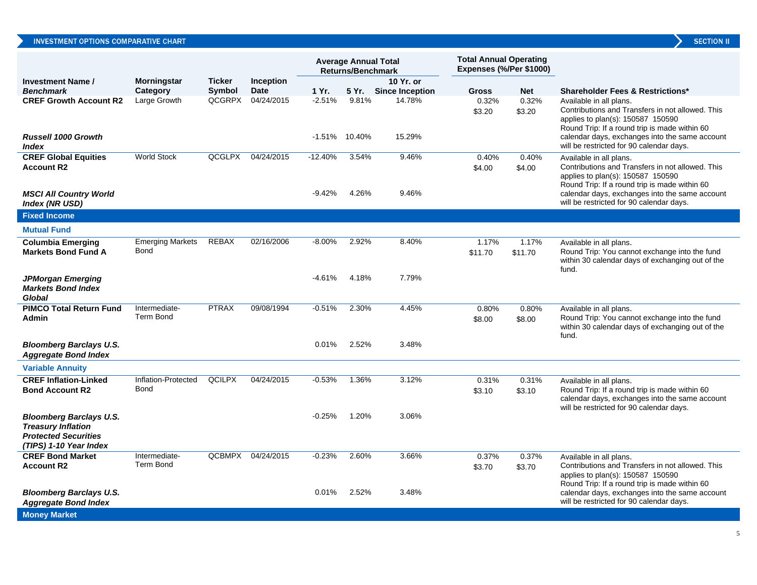|                                                                                                                      |                                   |               |                  |                       | <b>Average Annual Total</b><br><b>Returns/Benchmark</b> |                        | <b>Total Annual Operating</b><br>Expenses (%/Per \$1000) |                  |                                                                                                                                                                                                                                                                 |
|----------------------------------------------------------------------------------------------------------------------|-----------------------------------|---------------|------------------|-----------------------|---------------------------------------------------------|------------------------|----------------------------------------------------------|------------------|-----------------------------------------------------------------------------------------------------------------------------------------------------------------------------------------------------------------------------------------------------------------|
| <b>Investment Name/</b>                                                                                              | <b>Morningstar</b>                | <b>Ticker</b> | <b>Inception</b> |                       |                                                         | 10 Yr. or              |                                                          |                  |                                                                                                                                                                                                                                                                 |
| <b>Benchmark</b>                                                                                                     | Category                          | <b>Symbol</b> | <b>Date</b>      | 1 Yr.                 | 5 Yr.                                                   | <b>Since Inception</b> | <b>Gross</b>                                             | <b>Net</b>       | <b>Shareholder Fees &amp; Restrictions*</b>                                                                                                                                                                                                                     |
| <b>CREF Growth Account R2</b><br><b>Russell 1000 Growth</b><br><i><b>Index</b></i>                                   | Large Growth                      | QCGRPX        | 04/24/2015       | $-2.51%$              | 9.81%<br>$-1.51\%$ 10.40%                               | 14.78%<br>15.29%       | 0.32%<br>\$3.20                                          | 0.32%<br>\$3.20  | Available in all plans.<br>Contributions and Transfers in not allowed. This<br>applies to plan(s): 150587 150590<br>Round Trip: If a round trip is made within 60<br>calendar days, exchanges into the same account<br>will be restricted for 90 calendar days. |
| <b>CREF Global Equities</b><br><b>Account R2</b><br><b>MSCI All Country World</b>                                    | <b>World Stock</b>                | <b>QCGLPX</b> | 04/24/2015       | $-12.40%$<br>$-9.42%$ | 3.54%<br>4.26%                                          | 9.46%<br>9.46%         | 0.40%<br>\$4.00                                          | 0.40%<br>\$4.00  | Available in all plans.<br>Contributions and Transfers in not allowed. This<br>applies to plan(s): 150587 150590<br>Round Trip: If a round trip is made within 60<br>calendar days, exchanges into the same account                                             |
| <b>Index (NR USD)</b>                                                                                                |                                   |               |                  |                       |                                                         |                        |                                                          |                  | will be restricted for 90 calendar days.                                                                                                                                                                                                                        |
| <b>Fixed Income</b>                                                                                                  |                                   |               |                  |                       |                                                         |                        |                                                          |                  |                                                                                                                                                                                                                                                                 |
| <b>Mutual Fund</b>                                                                                                   |                                   |               |                  |                       |                                                         |                        |                                                          |                  |                                                                                                                                                                                                                                                                 |
| <b>Columbia Emerging</b><br><b>Markets Bond Fund A</b>                                                               | <b>Emerging Markets</b><br>Bond   | <b>REBAX</b>  | 02/16/2006       | $-8.00\%$             | 2.92%                                                   | 8.40%                  | 1.17%<br>\$11.70                                         | 1.17%<br>\$11.70 | Available in all plans.<br>Round Trip: You cannot exchange into the fund<br>within 30 calendar days of exchanging out of the<br>fund.                                                                                                                           |
| <b>JPMorgan Emerging</b><br><b>Markets Bond Index</b><br>Global                                                      |                                   |               |                  | -4.61%                | 4.18%                                                   | 7.79%                  |                                                          |                  |                                                                                                                                                                                                                                                                 |
| <b>PIMCO Total Return Fund</b><br><b>Admin</b>                                                                       | Intermediate-<br>Term Bond        | <b>PTRAX</b>  | 09/08/1994       | $-0.51%$              | 2.30%                                                   | 4.45%                  | 0.80%<br>\$8.00                                          | 0.80%<br>\$8.00  | Available in all plans.<br>Round Trip: You cannot exchange into the fund<br>within 30 calendar days of exchanging out of the<br>fund.                                                                                                                           |
| <b>Bloomberg Barclays U.S.</b><br><b>Aggregate Bond Index</b>                                                        |                                   |               |                  | 0.01%                 | 2.52%                                                   | 3.48%                  |                                                          |                  |                                                                                                                                                                                                                                                                 |
| <b>Variable Annuity</b>                                                                                              |                                   |               |                  |                       |                                                         |                        |                                                          |                  |                                                                                                                                                                                                                                                                 |
| <b>CREF Inflation-Linked</b><br><b>Bond Account R2</b>                                                               | Inflation-Protected<br>Bond       | <b>QCILPX</b> | 04/24/2015       | $-0.53%$              | 1.36%                                                   | 3.12%                  | 0.31%<br>\$3.10                                          | 0.31%<br>\$3.10  | Available in all plans.<br>Round Trip: If a round trip is made within 60<br>calendar days, exchanges into the same account<br>will be restricted for 90 calendar days.                                                                                          |
| <b>Bloomberg Barclays U.S.</b><br><b>Treasury Inflation</b><br><b>Protected Securities</b><br>(TIPS) 1-10 Year Index |                                   |               |                  | $-0.25%$              | 1.20%                                                   | 3.06%                  |                                                          |                  |                                                                                                                                                                                                                                                                 |
| <b>CREF Bond Market</b><br><b>Account R2</b>                                                                         | Intermediate-<br><b>Term Bond</b> | <b>QCBMPX</b> | 04/24/2015       | $-0.23%$              | 2.60%                                                   | 3.66%                  | 0.37%<br>\$3.70                                          | 0.37%<br>\$3.70  | Available in all plans.<br>Contributions and Transfers in not allowed. This<br>applies to plan(s): 150587 150590<br>Round Trip: If a round trip is made within 60                                                                                               |
| <b>Bloomberg Barclays U.S.</b><br><b>Aggregate Bond Index</b>                                                        |                                   |               |                  | 0.01%                 | 2.52%                                                   | 3.48%                  |                                                          |                  | calendar days, exchanges into the same account<br>will be restricted for 90 calendar days.                                                                                                                                                                      |
| <b>Money Market</b>                                                                                                  |                                   |               |                  |                       |                                                         |                        |                                                          |                  |                                                                                                                                                                                                                                                                 |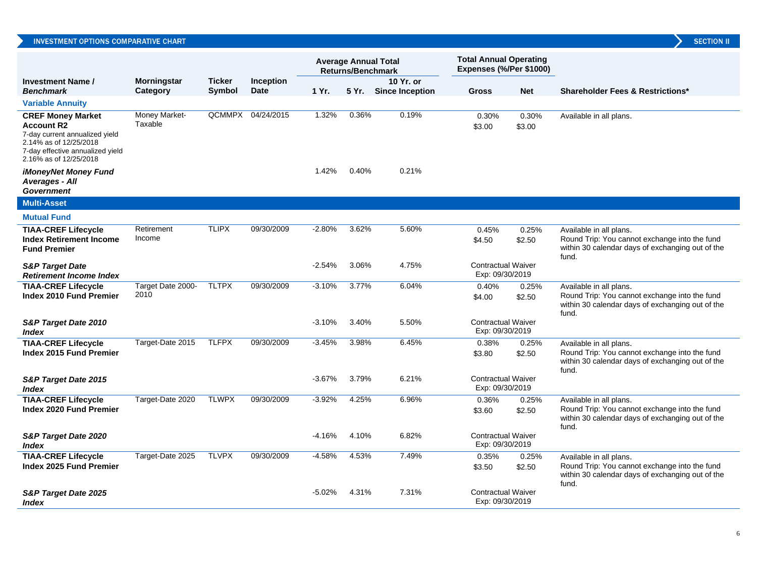## INVESTMENT OPTIONS COMPARATIVE CHART

|                                                                                                                                                                         |                                |                         |                          |          | <b>Returns/Benchmark</b> | <b>Average Annual Total</b>         | <b>Total Annual Operating</b><br>Expenses (%/Per \$1000) |                 |                                                                                                                                       |
|-------------------------------------------------------------------------------------------------------------------------------------------------------------------------|--------------------------------|-------------------------|--------------------------|----------|--------------------------|-------------------------------------|----------------------------------------------------------|-----------------|---------------------------------------------------------------------------------------------------------------------------------------|
| <b>Investment Name /</b><br><b>Benchmark</b>                                                                                                                            | <b>Morningstar</b><br>Category | <b>Ticker</b><br>Symbol | Inception<br><b>Date</b> | 1 Yr.    | 5 Yr.                    | 10 Yr. or<br><b>Since Inception</b> | <b>Gross</b>                                             | <b>Net</b>      | <b>Shareholder Fees &amp; Restrictions*</b>                                                                                           |
| <b>Variable Annuity</b>                                                                                                                                                 |                                |                         |                          |          |                          |                                     |                                                          |                 |                                                                                                                                       |
| <b>CREF Money Market</b><br><b>Account R2</b><br>7-day current annualized yield<br>2.14% as of 12/25/2018<br>7-day effective annualized yield<br>2.16% as of 12/25/2018 | Money Market-<br>Taxable       |                         | QCMMPX 04/24/2015        | 1.32%    | 0.36%                    | 0.19%                               | 0.30%<br>\$3.00                                          | 0.30%<br>\$3.00 | Available in all plans.                                                                                                               |
| <b>iMoneyNet Money Fund</b><br>Averages - All<br><b>Government</b>                                                                                                      |                                |                         |                          | 1.42%    | 0.40%                    | 0.21%                               |                                                          |                 |                                                                                                                                       |
| <b>Multi-Asset</b>                                                                                                                                                      |                                |                         |                          |          |                          |                                     |                                                          |                 |                                                                                                                                       |
| <b>Mutual Fund</b>                                                                                                                                                      |                                |                         |                          |          |                          |                                     |                                                          |                 |                                                                                                                                       |
| <b>TIAA-CREF Lifecycle</b><br><b>Index Retirement Income</b><br><b>Fund Premier</b>                                                                                     | Retirement<br>Income           | <b>TLIPX</b>            | 09/30/2009               | $-2.80%$ | 3.62%                    | 5.60%                               | 0.45%<br>\$4.50                                          | 0.25%<br>\$2.50 | Available in all plans.<br>Round Trip: You cannot exchange into the fund<br>within 30 calendar days of exchanging out of the<br>fund. |
| <b>S&amp;P Target Date</b><br><b>Retirement Income Index</b>                                                                                                            |                                |                         |                          | $-2.54%$ | 3.06%                    | 4.75%                               | <b>Contractual Waiver</b><br>Exp: 09/30/2019             |                 |                                                                                                                                       |
| <b>TIAA-CREF Lifecycle</b><br>Index 2010 Fund Premier                                                                                                                   | Target Date 2000-<br>2010      | <b>TLTPX</b>            | 09/30/2009               | $-3.10%$ | 3.77%                    | 6.04%                               | 0.40%<br>\$4.00                                          | 0.25%<br>\$2.50 | Available in all plans.<br>Round Trip: You cannot exchange into the fund<br>within 30 calendar days of exchanging out of the<br>fund. |
| S&P Target Date 2010<br>Index                                                                                                                                           |                                |                         |                          | $-3.10%$ | 3.40%                    | 5.50%                               | <b>Contractual Waiver</b><br>Exp: 09/30/2019             |                 |                                                                                                                                       |
| <b>TIAA-CREF Lifecycle</b><br><b>Index 2015 Fund Premier</b>                                                                                                            | Target-Date 2015               | <b>TLFPX</b>            | 09/30/2009               | $-3.45%$ | 3.98%                    | 6.45%                               | 0.38%<br>\$3.80                                          | 0.25%<br>\$2.50 | Available in all plans.<br>Round Trip: You cannot exchange into the fund<br>within 30 calendar days of exchanging out of the<br>fund. |
| S&P Target Date 2015<br><i><b>Index</b></i>                                                                                                                             |                                |                         |                          | $-3.67%$ | 3.79%                    | 6.21%                               | <b>Contractual Waiver</b><br>Exp: 09/30/2019             |                 |                                                                                                                                       |
| <b>TIAA-CREF Lifecycle</b><br><b>Index 2020 Fund Premier</b>                                                                                                            | Target-Date 2020               | <b>TLWPX</b>            | 09/30/2009               | $-3.92%$ | 4.25%                    | 6.96%                               | 0.36%<br>\$3.60                                          | 0.25%<br>\$2.50 | Available in all plans.<br>Round Trip: You cannot exchange into the fund<br>within 30 calendar days of exchanging out of the<br>fund. |
| S&P Target Date 2020<br><i><b>Index</b></i>                                                                                                                             |                                |                         |                          | $-4.16%$ | 4.10%                    | 6.82%                               | <b>Contractual Waiver</b><br>Exp: 09/30/2019             |                 |                                                                                                                                       |
| <b>TIAA-CREF Lifecycle</b><br>Index 2025 Fund Premier                                                                                                                   | Target-Date 2025               | <b>TLVPX</b>            | 09/30/2009               | $-4.58%$ | 4.53%                    | 7.49%                               | 0.35%<br>\$3.50                                          | 0.25%<br>\$2.50 | Available in all plans.<br>Round Trip: You cannot exchange into the fund<br>within 30 calendar days of exchanging out of the<br>fund. |
| <b>S&amp;P Target Date 2025</b><br>Index                                                                                                                                |                                |                         |                          | $-5.02%$ | 4.31%                    | 7.31%                               | <b>Contractual Waiver</b><br>Exp: 09/30/2019             |                 |                                                                                                                                       |

**SECTION II**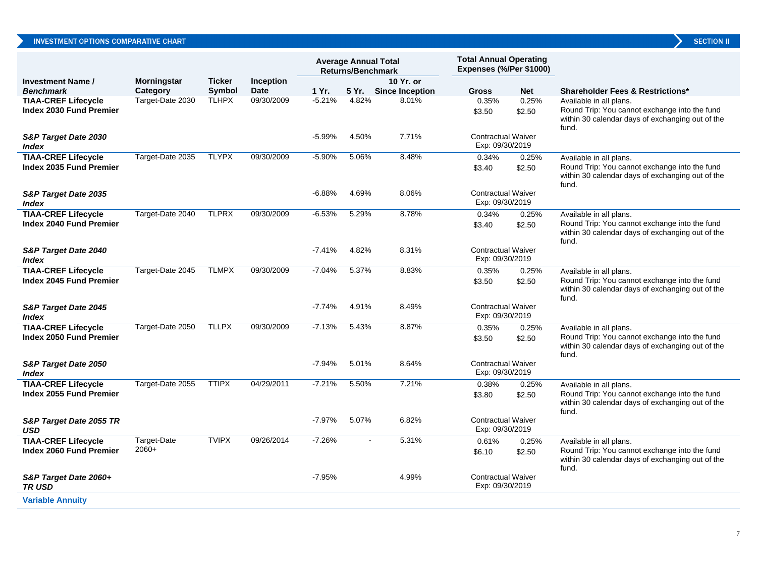| <b>SECTION</b> |  |
|----------------|--|

|                                                              |                        |               |             |          | <b>Average Annual Total</b><br><b>Returns/Benchmark</b> |                        | <b>Total Annual Operating</b><br>Expenses (%/Per \$1000) |                 |                                                                                                                                       |
|--------------------------------------------------------------|------------------------|---------------|-------------|----------|---------------------------------------------------------|------------------------|----------------------------------------------------------|-----------------|---------------------------------------------------------------------------------------------------------------------------------------|
| <b>Investment Name /</b>                                     | Morningstar            | <b>Ticker</b> | Inception   |          |                                                         | 10 Yr. or              |                                                          |                 |                                                                                                                                       |
| <b>Benchmark</b>                                             | Category               | <b>Symbol</b> | <b>Date</b> | 1 Yr.    | 5 Yr.                                                   | <b>Since Inception</b> | <b>Gross</b>                                             | <b>Net</b>      | Shareholder Fees & Restrictions*                                                                                                      |
| <b>TIAA-CREF Lifecycle</b><br><b>Index 2030 Fund Premier</b> | Target-Date 2030       | <b>TLHPX</b>  | 09/30/2009  | $-5.21%$ | 4.82%                                                   | 8.01%                  | 0.35%<br>\$3.50                                          | 0.25%<br>\$2.50 | Available in all plans.<br>Round Trip: You cannot exchange into the fund<br>within 30 calendar days of exchanging out of the<br>fund. |
| S&P Target Date 2030<br>Index                                |                        |               |             | $-5.99%$ | 4.50%                                                   | 7.71%                  | <b>Contractual Waiver</b><br>Exp: 09/30/2019             |                 |                                                                                                                                       |
| <b>TIAA-CREF Lifecycle</b><br><b>Index 2035 Fund Premier</b> | Target-Date 2035       | <b>TLYPX</b>  | 09/30/2009  | $-5.90%$ | 5.06%                                                   | 8.48%                  | 0.34%<br>\$3.40                                          | 0.25%<br>\$2.50 | Available in all plans.<br>Round Trip: You cannot exchange into the fund<br>within 30 calendar days of exchanging out of the<br>fund. |
| S&P Target Date 2035<br><b>Index</b>                         |                        |               |             | $-6.88%$ | 4.69%                                                   | 8.06%                  | <b>Contractual Waiver</b><br>Exp: 09/30/2019             |                 |                                                                                                                                       |
| <b>TIAA-CREF Lifecycle</b><br><b>Index 2040 Fund Premier</b> | Target-Date 2040       | <b>TLPRX</b>  | 09/30/2009  | $-6.53%$ | 5.29%                                                   | 8.78%                  | 0.34%<br>\$3.40                                          | 0.25%<br>\$2.50 | Available in all plans.<br>Round Trip: You cannot exchange into the fund<br>within 30 calendar days of exchanging out of the<br>fund. |
| S&P Target Date 2040<br><i><b>Index</b></i>                  |                        |               |             | $-7.41%$ | 4.82%                                                   | 8.31%                  | <b>Contractual Waiver</b><br>Exp: 09/30/2019             |                 |                                                                                                                                       |
| <b>TIAA-CREF Lifecycle</b><br>Index 2045 Fund Premier        | Target-Date 2045       | <b>TLMPX</b>  | 09/30/2009  | $-7.04%$ | 5.37%                                                   | 8.83%                  | 0.35%<br>\$3.50                                          | 0.25%<br>\$2.50 | Available in all plans.<br>Round Trip: You cannot exchange into the fund<br>within 30 calendar days of exchanging out of the<br>fund. |
| S&P Target Date 2045<br><b>Index</b>                         |                        |               |             | $-7.74%$ | 4.91%                                                   | 8.49%                  | <b>Contractual Waiver</b><br>Exp: 09/30/2019             |                 |                                                                                                                                       |
| <b>TIAA-CREF Lifecycle</b><br>Index 2050 Fund Premier        | Target-Date 2050       | <b>TLLPX</b>  | 09/30/2009  | $-7.13%$ | 5.43%                                                   | 8.87%                  | 0.35%<br>\$3.50                                          | 0.25%<br>\$2.50 | Available in all plans.<br>Round Trip: You cannot exchange into the fund<br>within 30 calendar days of exchanging out of the<br>fund. |
| S&P Target Date 2050<br><b>Index</b>                         |                        |               |             | $-7.94%$ | 5.01%                                                   | 8.64%                  | <b>Contractual Waiver</b><br>Exp: 09/30/2019             |                 |                                                                                                                                       |
| <b>TIAA-CREF Lifecycle</b><br>Index 2055 Fund Premier        | Target-Date 2055       | <b>TTIPX</b>  | 04/29/2011  | $-7.21%$ | 5.50%                                                   | 7.21%                  | 0.38%<br>\$3.80                                          | 0.25%<br>\$2.50 | Available in all plans.<br>Round Trip: You cannot exchange into the fund<br>within 30 calendar days of exchanging out of the<br>fund. |
| S&P Target Date 2055 TR<br><b>USD</b>                        |                        |               |             | $-7.97%$ | 5.07%                                                   | 6.82%                  | <b>Contractual Waiver</b><br>Exp: 09/30/2019             |                 |                                                                                                                                       |
| <b>TIAA-CREF Lifecycle</b><br><b>Index 2060 Fund Premier</b> | Target-Date<br>$2060+$ | <b>TVIPX</b>  | 09/26/2014  | $-7.26%$ | $\blacksquare$                                          | 5.31%                  | 0.61%<br>\$6.10                                          | 0.25%<br>\$2.50 | Available in all plans.<br>Round Trip: You cannot exchange into the fund<br>within 30 calendar days of exchanging out of the<br>fund. |
| S&P Target Date 2060+<br><b>TRUSD</b>                        |                        |               |             | $-7.95%$ |                                                         | 4.99%                  | <b>Contractual Waiver</b><br>Exp: 09/30/2019             |                 |                                                                                                                                       |
| <b>Variable Annuity</b>                                      |                        |               |             |          |                                                         |                        |                                                          |                 |                                                                                                                                       |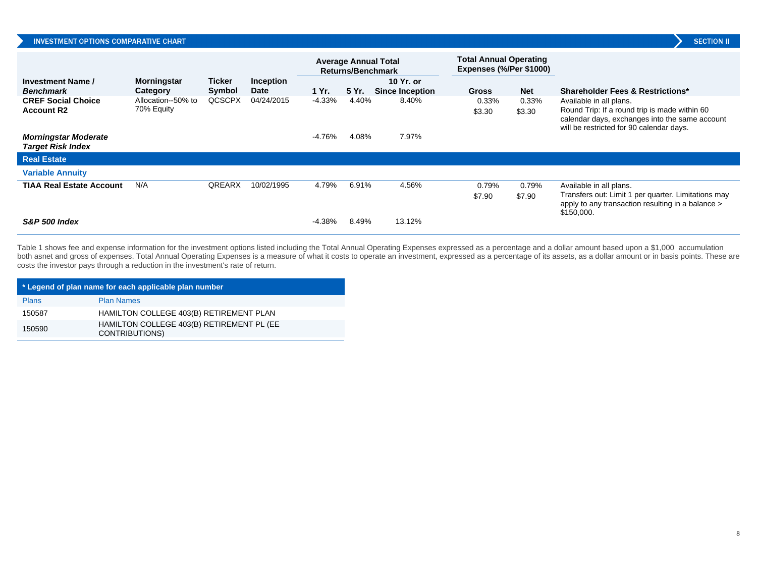|                                                         |                                  |                  |                          |           | Returns/Benchmark | <b>Average Annual Total</b>         | <b>Total Annual Operating</b><br>Expenses (%/Per \$1000) |                 |                                                                                                                                                                        |
|---------------------------------------------------------|----------------------------------|------------------|--------------------------|-----------|-------------------|-------------------------------------|----------------------------------------------------------|-----------------|------------------------------------------------------------------------------------------------------------------------------------------------------------------------|
| Investment Name /<br><b>Benchmark</b>                   | <b>Morningstar</b><br>Category   | Ticker<br>Symbol | <b>Inception</b><br>Date | 1 Yr.     | 5 Yr.             | 10 Yr. or<br><b>Since Inception</b> | <b>Gross</b>                                             | <b>Net</b>      | <b>Shareholder Fees &amp; Restrictions*</b>                                                                                                                            |
| <b>CREF Social Choice</b><br><b>Account R2</b>          | Allocation--50% to<br>70% Equity | QCSCPX           | 04/24/2015               | $-4.33\%$ | 4.40%             | 8.40%                               | 0.33%<br>\$3.30                                          | 0.33%<br>\$3.30 | Available in all plans.<br>Round Trip: If a round trip is made within 60<br>calendar days, exchanges into the same account<br>will be restricted for 90 calendar days. |
| <b>Morningstar Moderate</b><br><b>Target Risk Index</b> |                                  |                  |                          | -4.76%    | 4.08%             | 7.97%                               |                                                          |                 |                                                                                                                                                                        |
| <b>Real Estate</b>                                      |                                  |                  |                          |           |                   |                                     |                                                          |                 |                                                                                                                                                                        |
| <b>Variable Annuity</b>                                 |                                  |                  |                          |           |                   |                                     |                                                          |                 |                                                                                                                                                                        |
| <b>TIAA Real Estate Account</b>                         | N/A                              | <b>QREARX</b>    | 10/02/1995               | 4.79%     | 6.91%             | 4.56%                               | 0.79%<br>\$7.90                                          | 0.79%<br>\$7.90 | Available in all plans.<br>Transfers out: Limit 1 per quarter. Limitations may<br>apply to any transaction resulting in a balance ><br>\$150,000.                      |
| S&P 500 Index                                           |                                  |                  |                          | -4.38%    | 8.49%             | 13.12%                              |                                                          |                 |                                                                                                                                                                        |

Table 1 shows fee and expense information for the investment options listed including the Total Annual Operating Expenses expressed as a percentage and a dollar amount based upon a \$1,000 accumulation both asnet and gross of expenses. Total Annual Operating Expenses is a measure of what it costs to operate an investment, expressed as a percentage of its assets, as a dollar amount or in basis points. These are costs the investor pays through a reduction in the investment's rate of return.

| * Legend of plan name for each applicable plan number |                                                                    |  |  |  |  |  |
|-------------------------------------------------------|--------------------------------------------------------------------|--|--|--|--|--|
| <b>Plans</b>                                          | <b>Plan Names</b>                                                  |  |  |  |  |  |
| 150587                                                | HAMILTON COLLEGE 403(B) RETIREMENT PLAN                            |  |  |  |  |  |
| 150590                                                | HAMILTON COLLEGE 403(B) RETIREMENT PL (EE<br><b>CONTRIBUTIONS)</b> |  |  |  |  |  |

**SECTION II**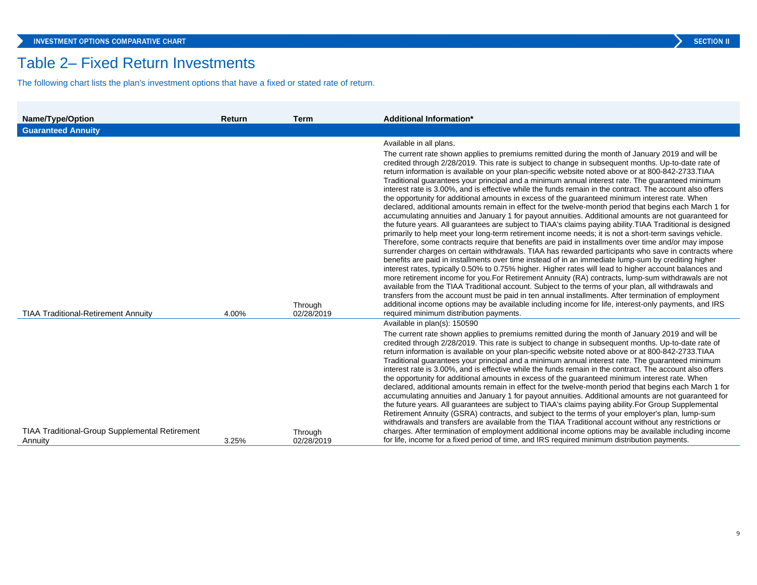## Table 2– Fixed Return Investments

The following chart lists the plan's investment options that have a fixed or stated rate of return.

| Name/Type/Option                                      | Return | <b>Term</b>           | <b>Additional Information*</b>                                                                                                                                                                                                                                                                                                                                                                                                                                                                                                                                                                                                                                                                                                                                                                                                                                                                                                                                                                                                                                                                                                                                                                                                                                                                                                                                                                                                                                                                                                                                                                                                                                                                                                                                                                                                                                                                                                                                                                                 |
|-------------------------------------------------------|--------|-----------------------|----------------------------------------------------------------------------------------------------------------------------------------------------------------------------------------------------------------------------------------------------------------------------------------------------------------------------------------------------------------------------------------------------------------------------------------------------------------------------------------------------------------------------------------------------------------------------------------------------------------------------------------------------------------------------------------------------------------------------------------------------------------------------------------------------------------------------------------------------------------------------------------------------------------------------------------------------------------------------------------------------------------------------------------------------------------------------------------------------------------------------------------------------------------------------------------------------------------------------------------------------------------------------------------------------------------------------------------------------------------------------------------------------------------------------------------------------------------------------------------------------------------------------------------------------------------------------------------------------------------------------------------------------------------------------------------------------------------------------------------------------------------------------------------------------------------------------------------------------------------------------------------------------------------------------------------------------------------------------------------------------------------|
| <b>Guaranteed Annuity</b>                             |        |                       |                                                                                                                                                                                                                                                                                                                                                                                                                                                                                                                                                                                                                                                                                                                                                                                                                                                                                                                                                                                                                                                                                                                                                                                                                                                                                                                                                                                                                                                                                                                                                                                                                                                                                                                                                                                                                                                                                                                                                                                                                |
| <b>TIAA Traditional-Retirement Annuity</b>            | 4.00%  | Through<br>02/28/2019 | Available in all plans.<br>The current rate shown applies to premiums remitted during the month of January 2019 and will be<br>credited through 2/28/2019. This rate is subject to change in subsequent months. Up-to-date rate of<br>return information is available on your plan-specific website noted above or at 800-842-2733. TIAA<br>Traditional guarantees your principal and a minimum annual interest rate. The guaranteed minimum<br>interest rate is 3.00%, and is effective while the funds remain in the contract. The account also offers<br>the opportunity for additional amounts in excess of the guaranteed minimum interest rate. When<br>declared, additional amounts remain in effect for the twelve-month period that begins each March 1 for<br>accumulating annuities and January 1 for payout annuities. Additional amounts are not guaranteed for<br>the future years. All guarantees are subject to TIAA's claims paying ability. TIAA Traditional is designed<br>primarily to help meet your long-term retirement income needs; it is not a short-term savings vehicle.<br>Therefore, some contracts require that benefits are paid in installments over time and/or may impose<br>surrender charges on certain withdrawals. TIAA has rewarded participants who save in contracts where<br>benefits are paid in installments over time instead of in an immediate lump-sum by crediting higher<br>interest rates, typically 0.50% to 0.75% higher. Higher rates will lead to higher account balances and<br>more retirement income for you. For Retirement Annuity (RA) contracts, lump-sum withdrawals are not<br>available from the TIAA Traditional account. Subject to the terms of your plan, all withdrawals and<br>transfers from the account must be paid in ten annual installments. After termination of employment<br>additional income options may be available including income for life, interest-only payments, and IRS<br>required minimum distribution payments. |
| <b>TIAA Traditional-Group Supplemental Retirement</b> |        | Through               | Available in plan(s): 150590<br>The current rate shown applies to premiums remitted during the month of January 2019 and will be<br>credited through 2/28/2019. This rate is subject to change in subsequent months. Up-to-date rate of<br>return information is available on your plan-specific website noted above or at 800-842-2733. TIAA<br>Traditional guarantees your principal and a minimum annual interest rate. The guaranteed minimum<br>interest rate is 3.00%, and is effective while the funds remain in the contract. The account also offers<br>the opportunity for additional amounts in excess of the guaranteed minimum interest rate. When<br>declared, additional amounts remain in effect for the twelve-month period that begins each March 1 for<br>accumulating annuities and January 1 for payout annuities. Additional amounts are not guaranteed for<br>the future years. All guarantees are subject to TIAA's claims paying ability. For Group Supplemental<br>Retirement Annuity (GSRA) contracts, and subject to the terms of your employer's plan, lump-sum<br>withdrawals and transfers are available from the TIAA Traditional account without any restrictions or<br>charges. After termination of employment additional income options may be available including income                                                                                                                                                                                                                                                                                                                                                                                                                                                                                                                                                                                                                                                                                                  |
| Annuity                                               | 3.25%  | 02/28/2019            | for life, income for a fixed period of time, and IRS required minimum distribution payments.                                                                                                                                                                                                                                                                                                                                                                                                                                                                                                                                                                                                                                                                                                                                                                                                                                                                                                                                                                                                                                                                                                                                                                                                                                                                                                                                                                                                                                                                                                                                                                                                                                                                                                                                                                                                                                                                                                                   |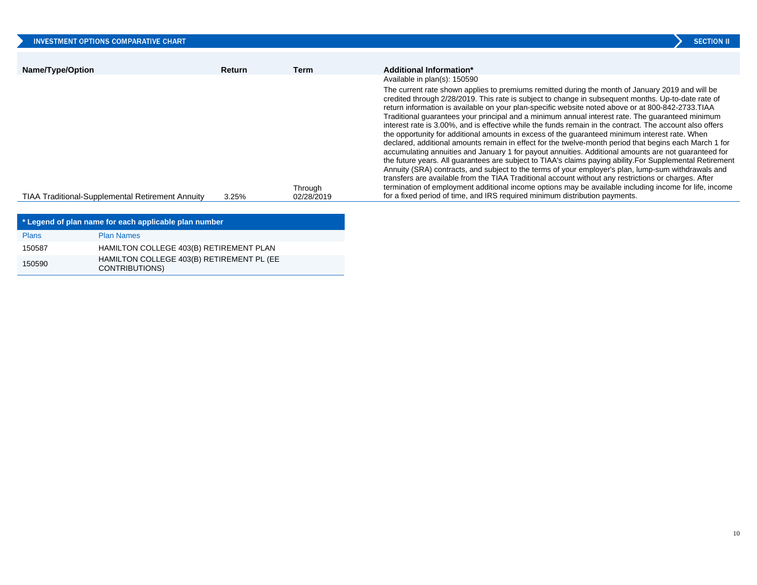| <b>INVESTMENT OPTIONS COMPARATIVE CHART</b>             |               |                       | <b>SECTION II</b>                                                                                                                                                                                                                                                                                                                                                                                                                                                                                                                                                                                                                                                                                                                                                                                                                                                                                                                                                                                                                                                                                                                                                                                                                                                                                                                                                      |
|---------------------------------------------------------|---------------|-----------------------|------------------------------------------------------------------------------------------------------------------------------------------------------------------------------------------------------------------------------------------------------------------------------------------------------------------------------------------------------------------------------------------------------------------------------------------------------------------------------------------------------------------------------------------------------------------------------------------------------------------------------------------------------------------------------------------------------------------------------------------------------------------------------------------------------------------------------------------------------------------------------------------------------------------------------------------------------------------------------------------------------------------------------------------------------------------------------------------------------------------------------------------------------------------------------------------------------------------------------------------------------------------------------------------------------------------------------------------------------------------------|
| Name/Type/Option                                        | <b>Return</b> | Term                  | Additional Information*<br>Available in plan(s): 150590                                                                                                                                                                                                                                                                                                                                                                                                                                                                                                                                                                                                                                                                                                                                                                                                                                                                                                                                                                                                                                                                                                                                                                                                                                                                                                                |
| <b>TIAA Traditional-Supplemental Retirement Annuity</b> | 3.25%         | Through<br>02/28/2019 | The current rate shown applies to premiums remitted during the month of January 2019 and will be<br>credited through 2/28/2019. This rate is subject to change in subsequent months. Up-to-date rate of<br>return information is available on your plan-specific website noted above or at 800-842-2733. TIAA<br>Traditional quarantees your principal and a minimum annual interest rate. The quaranteed minimum<br>interest rate is 3.00%, and is effective while the funds remain in the contract. The account also offers<br>the opportunity for additional amounts in excess of the quaranteed minimum interest rate. When<br>declared, additional amounts remain in effect for the twelve-month period that begins each March 1 for<br>accumulating annuities and January 1 for payout annuities. Additional amounts are not guaranteed for<br>the future years. All guarantees are subject to TIAA's claims paying ability. For Supplemental Retirement<br>Annuity (SRA) contracts, and subject to the terms of your employer's plan, lump-sum withdrawals and<br>transfers are available from the TIAA Traditional account without any restrictions or charges. After<br>termination of employment additional income options may be available including income for life, income<br>for a fixed period of time, and IRS required minimum distribution payments. |
|                                                         |               |                       |                                                                                                                                                                                                                                                                                                                                                                                                                                                                                                                                                                                                                                                                                                                                                                                                                                                                                                                                                                                                                                                                                                                                                                                                                                                                                                                                                                        |

| * Legend of plan name for each applicable plan number |                                                                    |  |  |  |  |  |
|-------------------------------------------------------|--------------------------------------------------------------------|--|--|--|--|--|
| <b>Plans</b>                                          | <b>Plan Names</b>                                                  |  |  |  |  |  |
| 150587                                                | HAMILTON COLLEGE 403(B) RETIREMENT PLAN                            |  |  |  |  |  |
| 150590                                                | HAMILTON COLLEGE 403(B) RETIREMENT PL (EE<br><b>CONTRIBUTIONS)</b> |  |  |  |  |  |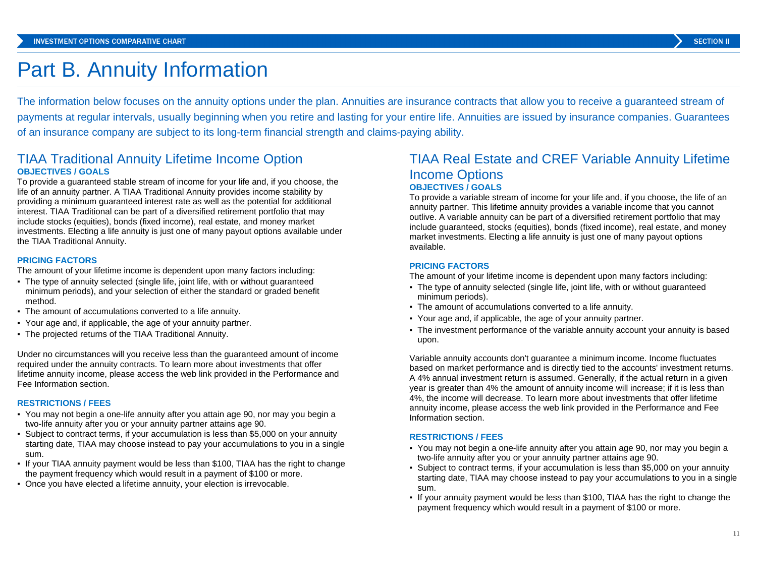## Part B. Annuity Information

The information below focuses on the annuity options under the plan. Annuities are insurance contracts that allow you to receive a guaranteed stream of payments at regular intervals, usually beginning when you retire and lasting for your entire life. Annuities are issued by insurance companies. Guarantees of an insurance company are subject to its long-term financial strength and claims-paying ability.

## TIAA Traditional Annuity Lifetime Income Option **OBJECTIVES / GOALS**

To provide a guaranteed stable stream of income for your life and, if you choose, the life of an annuity partner. A TIAA Traditional Annuity provides income stability by providing a minimum guaranteed interest rate as well as the potential for additional interest. TIAA Traditional can be part of a diversified retirement portfolio that may include stocks (equities), bonds (fixed income), real estate, and money market investments. Electing a life annuity is just one of many payout options available under the TIAA Traditional Annuity.

#### **PRICING FACTORS**

The amount of your lifetime income is dependent upon many factors including:

- The type of annuity selected (single life, joint life, with or without guaranteed minimum periods), and your selection of either the standard or graded benefit method.
- The amount of accumulations converted to a life annuity.
- Your age and, if applicable, the age of your annuity partner.
- The projected returns of the TIAA Traditional Annuity.

Under no circumstances will you receive less than the guaranteed amount of income required under the annuity contracts. To learn more about investments that offer lifetime annuity income, please access the web link provided in the Performance and Fee Information section.

#### **RESTRICTIONS / FEES**

- You may not begin a one-life annuity after you attain age 90, nor may you begin a two-life annuity after you or your annuity partner attains age 90.
- Subject to contract terms, if your accumulation is less than \$5,000 on your annuity starting date, TIAA may choose instead to pay your accumulations to you in a single sum.
- If your TIAA annuity payment would be less than \$100, TIAA has the right to change the payment frequency which would result in a payment of \$100 or more.
- Once you have elected a lifetime annuity, your election is irrevocable.

## TIAA Real Estate and CREF Variable Annuity Lifetime Income Options **OBJECTIVES / GOALS**

To provide a variable stream of income for your life and, if you choose, the life of an annuity partner. This lifetime annuity provides a variable income that you cannot outlive. A variable annuity can be part of a diversified retirement portfolio that may include guaranteed, stocks (equities), bonds (fixed income), real estate, and money market investments. Electing a life annuity is just one of many payout options available.

#### **PRICING FACTORS**

The amount of your lifetime income is dependent upon many factors including:

- The type of annuity selected (single life, joint life, with or without guaranteed minimum periods).
- The amount of accumulations converted to a life annuity.
- Your age and, if applicable, the age of your annuity partner.
- The investment performance of the variable annuity account your annuity is based upon.

Variable annuity accounts don't guarantee a minimum income. Income fluctuates based on market performance and is directly tied to the accounts' investment returns. A 4% annual investment return is assumed. Generally, if the actual return in a given year is greater than 4% the amount of annuity income will increase; if it is less than 4%, the income will decrease. To learn more about investments that offer lifetime annuity income, please access the web link provided in the Performance and Fee Information section.

#### **RESTRICTIONS / FEES**

- You may not begin a one-life annuity after you attain age 90, nor may you begin a two-life annuity after you or your annuity partner attains age 90.
- Subject to contract terms, if your accumulation is less than \$5,000 on your annuity starting date, TIAA may choose instead to pay your accumulations to you in a single sum.
- If your annuity payment would be less than \$100, TIAA has the right to change the payment frequency which would result in a payment of \$100 or more.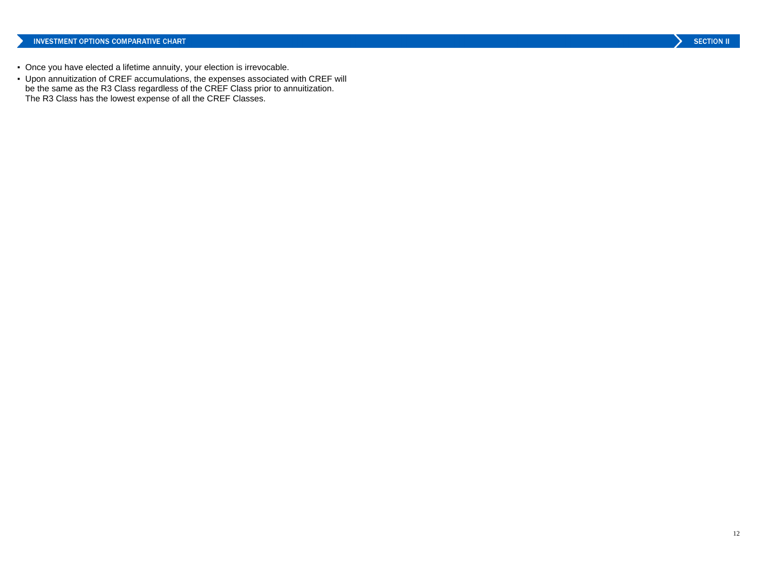- Once you have elected a lifetime annuity, your election is irrevocable.
- Upon annuitization of CREF accumulations, the expenses associated with CREF will be the same as the R3 Class regardless of the CREF Class prior to annuitization. The R3 Class has the lowest expense of all the CREF Classes.